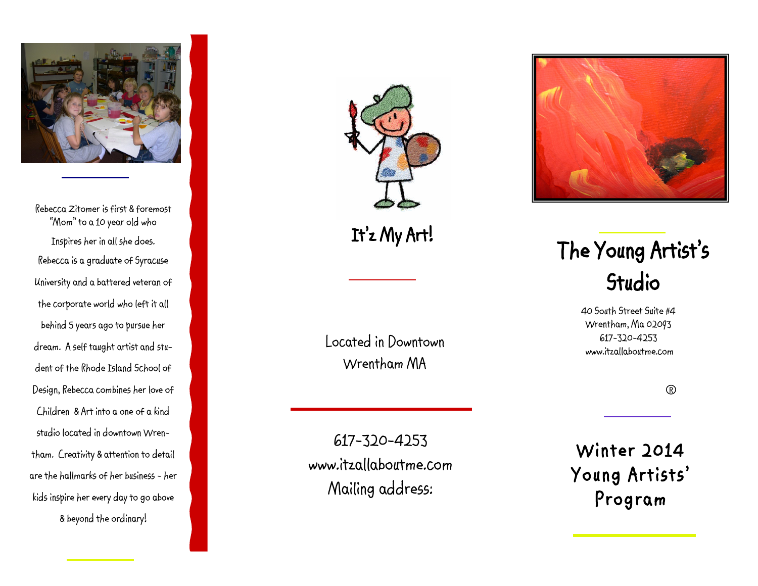

Rebecca Zitomer is first & foremost "Mom" to a 10 year old who Inspires her in all she does. Rebecca is a graduate of Syracuse University and a battered veteran of the corporate world who left it all behind 5 years ago to pursue her dream. A self taught artist and student of the Rhode Island School of Design, Rebecca combines her love of Children & Art into a one of a kind studio located in downtown Wrentham. Creativity & attention to detail are the hallmarks of her business - her kids inspire her every day to go above & beyond the ordinary!



It'z My Art!

Located in Downtown Wrentham MA

617 -320 -4253 www.itzallaboutme.com Mailing address:



# The Young Artist's Studio

40 South Street Suite #4 Wrentham, Ma 02093 617 -320 -4253 www.itzallaboutme.com

 $^{\circ}$ 

Winter 2014 Young Artists' Program